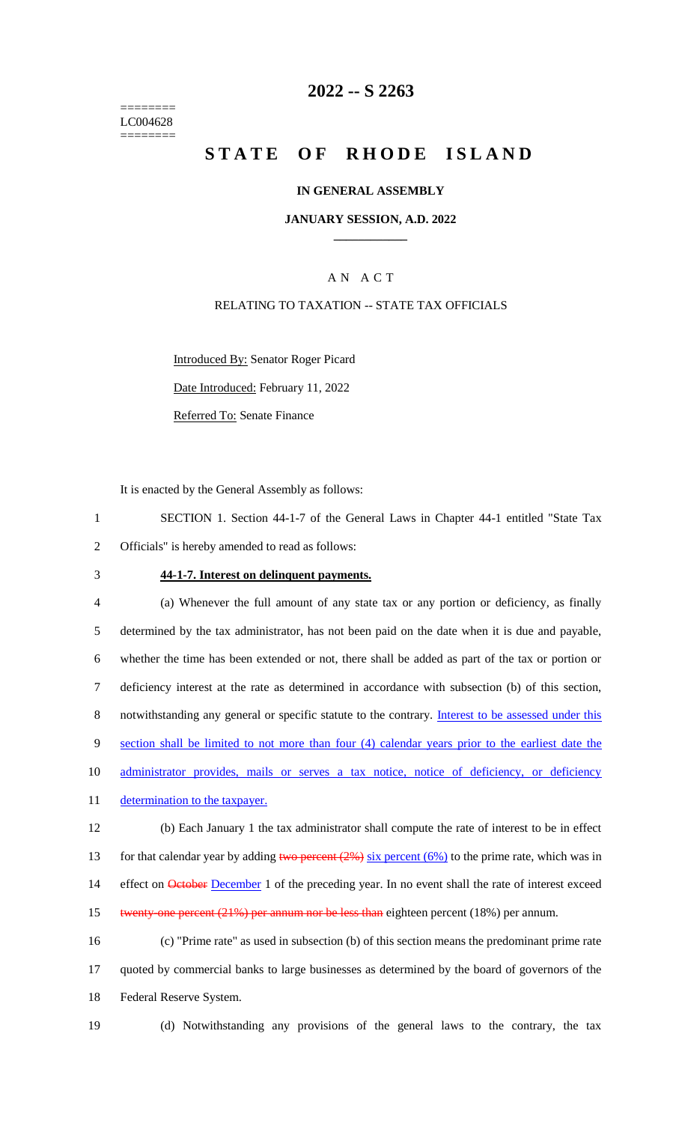======== LC004628 ========

## **2022 -- S 2263**

# **STATE OF RHODE ISLAND**

#### **IN GENERAL ASSEMBLY**

#### **JANUARY SESSION, A.D. 2022 \_\_\_\_\_\_\_\_\_\_\_\_**

### A N A C T

#### RELATING TO TAXATION -- STATE TAX OFFICIALS

Introduced By: Senator Roger Picard

Date Introduced: February 11, 2022

Referred To: Senate Finance

It is enacted by the General Assembly as follows:

1 SECTION 1. Section 44-1-7 of the General Laws in Chapter 44-1 entitled "State Tax 2 Officials" is hereby amended to read as follows:

#### 3 **44-1-7. Interest on delinquent payments.**

4 (a) Whenever the full amount of any state tax or any portion or deficiency, as finally 5 determined by the tax administrator, has not been paid on the date when it is due and payable, 6 whether the time has been extended or not, there shall be added as part of the tax or portion or 7 deficiency interest at the rate as determined in accordance with subsection (b) of this section, 8 notwithstanding any general or specific statute to the contrary. Interest to be assessed under this 9 section shall be limited to not more than four (4) calendar years prior to the earliest date the 10 administrator provides, mails or serves a tax notice, notice of deficiency, or deficiency 11 determination to the taxpayer. 12 (b) Each January 1 the tax administrator shall compute the rate of interest to be in effect 13 for that calendar year by adding two percent  $(2\%)$  six percent  $(6\%)$  to the prime rate, which was in 14 effect on **October December** 1 of the preceding year. In no event shall the rate of interest exceed

15 twenty-one percent (21%) per annum nor be less than eighteen percent (18%) per annum.

16 (c) "Prime rate" as used in subsection (b) of this section means the predominant prime rate 17 quoted by commercial banks to large businesses as determined by the board of governors of the 18 Federal Reserve System.

- 
- 19 (d) Notwithstanding any provisions of the general laws to the contrary, the tax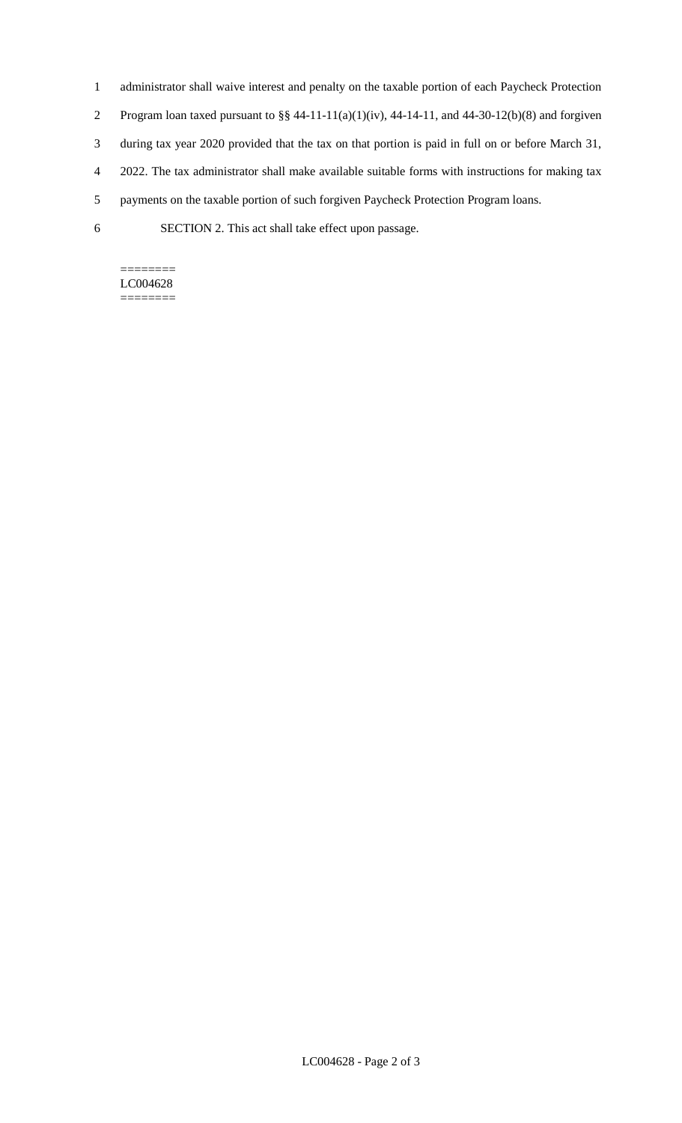- 1 administrator shall waive interest and penalty on the taxable portion of each Paycheck Protection
- 2 Program loan taxed pursuant to  $\S § 44-11-11(a)(1)(iv)$ , 44-14-11, and 44-30-12(b)(8) and forgiven
- 3 during tax year 2020 provided that the tax on that portion is paid in full on or before March 31,
- 4 2022. The tax administrator shall make available suitable forms with instructions for making tax
- 5 payments on the taxable portion of such forgiven Paycheck Protection Program loans.
- 6 SECTION 2. This act shall take effect upon passage.

#### ======== LC004628

========